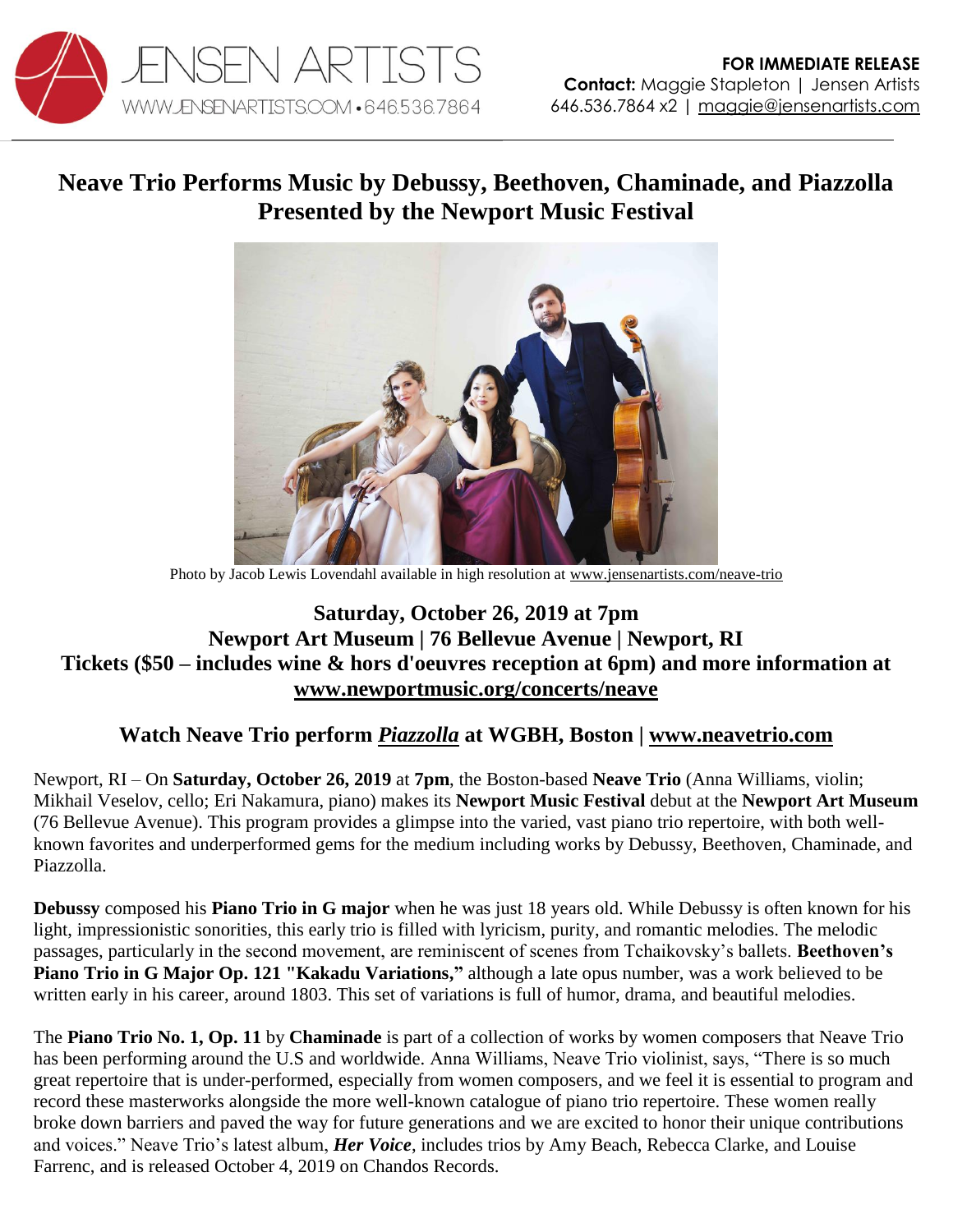

# **Neave Trio Performs Music by Debussy, Beethoven, Chaminade, and Piazzolla Presented by the Newport Music Festival**



Photo by Jacob Lewis Lovendahl available in high resolution at [www.jensenartists.com/neave-trio](http://www.jensenartists.com/neave-trio)

## **Saturday, October 26, 2019 at 7pm Newport Art Museum | 76 Bellevue Avenue | Newport, RI Tickets (\$50 – includes wine & hors d'oeuvres reception at 6pm) and more information at [www.newportmusic.org/concerts/neave](http://www.newportmusic.org/concerts/neave)**

### **Watch Neave Trio perform** *[Piazzolla](https://youtu.be/Xs3a6h4OV-E)* **at WGBH, Boston | [www.neavetrio.com](http://www.neavetrio.com/)**

Newport, RI – On **Saturday, October 26, 2019** at **7pm**, the Boston-based **Neave Trio** (Anna Williams, violin; Mikhail Veselov, cello; Eri Nakamura, piano) makes its **Newport Music Festival** debut at the **Newport Art Museum** (76 Bellevue Avenue). This program provides a glimpse into the varied, vast piano trio repertoire, with both wellknown favorites and underperformed gems for the medium including works by Debussy, Beethoven, Chaminade, and Piazzolla.

**Debussy** composed his **Piano Trio in G major** when he was just 18 years old. While Debussy is often known for his light, impressionistic sonorities, this early trio is filled with lyricism, purity, and romantic melodies. The melodic passages, particularly in the second movement, are reminiscent of scenes from Tchaikovsky's ballets. **Beethoven's Piano Trio in G Major Op. 121 "Kakadu Variations,"** although a late opus number, was a work believed to be written early in his career, around 1803. This set of variations is full of humor, drama, and beautiful melodies.

The **Piano Trio No. 1, Op. 11** by **Chaminade** is part of a collection of works by women composers that Neave Trio has been performing around the U.S and worldwide. Anna Williams, Neave Trio violinist, says, "There is so much great repertoire that is under-performed, especially from women composers, and we feel it is essential to program and record these masterworks alongside the more well-known catalogue of piano trio repertoire. These women really broke down barriers and paved the way for future generations and we are excited to honor their unique contributions and voices." Neave Trio's latest album, *Her Voice*, includes trios by Amy Beach, Rebecca Clarke, and Louise Farrenc, and is released October 4, 2019 on Chandos Records.